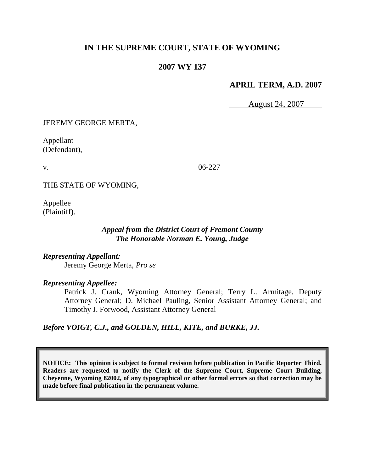# **IN THE SUPREME COURT, STATE OF WYOMING**

# **2007 WY 137**

## **APRIL TERM, A.D. 2007**

August 24, 2007

JEREMY GEORGE MERTA,

Appellant (Defendant),

v.

06-227

THE STATE OF WYOMING,

Appellee (Plaintiff).

### *Appeal from the District Court of Fremont County The Honorable Norman E. Young, Judge*

*Representing Appellant:* Jeremy George Merta, *Pro se*

*Representing Appellee:*

Patrick J. Crank, Wyoming Attorney General; Terry L. Armitage, Deputy Attorney General; D. Michael Pauling, Senior Assistant Attorney General; and Timothy J. Forwood, Assistant Attorney General

*Before VOIGT, C.J., and GOLDEN, HILL, KITE, and BURKE, JJ.*

**NOTICE: This opinion is subject to formal revision before publication in Pacific Reporter Third. Readers are requested to notify the Clerk of the Supreme Court, Supreme Court Building, Cheyenne, Wyoming 82002, of any typographical or other formal errors so that correction may be made before final publication in the permanent volume.**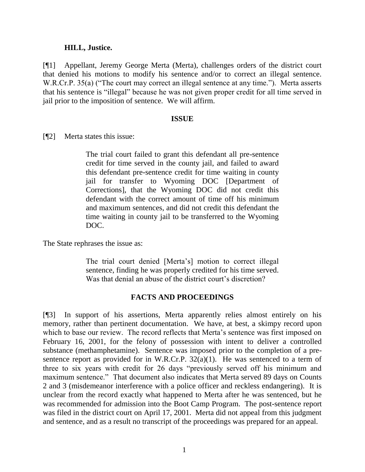#### **HILL, Justice.**

[¶1] Appellant, Jeremy George Merta (Merta), challenges orders of the district court that denied his motions to modify his sentence and/or to correct an illegal sentence. W.R.Cr.P. 35(a) ("The court may correct an illegal sentence at any time."). Merta asserts that his sentence is "illegal" because he was not given proper credit for all time served in jail prior to the imposition of sentence. We will affirm.

#### **ISSUE**

[¶2] Merta states this issue:

The trial court failed to grant this defendant all pre-sentence credit for time served in the county jail, and failed to award this defendant pre-sentence credit for time waiting in county jail for transfer to Wyoming DOC [Department of Corrections], that the Wyoming DOC did not credit this defendant with the correct amount of time off his minimum and maximum sentences, and did not credit this defendant the time waiting in county jail to be transferred to the Wyoming DOC.

The State rephrases the issue as:

The trial court denied [Merta's] motion to correct illegal sentence, finding he was properly credited for his time served. Was that denial an abuse of the district court's discretion?

### **FACTS AND PROCEEDINGS**

[¶3] In support of his assertions, Merta apparently relies almost entirely on his memory, rather than pertinent documentation. We have, at best, a skimpy record upon which to base our review. The record reflects that Merta's sentence was first imposed on February 16, 2001, for the felony of possession with intent to deliver a controlled substance (methamphetamine). Sentence was imposed prior to the completion of a presentence report as provided for in W.R.Cr.P.  $32(a)(1)$ . He was sentenced to a term of three to six years with credit for 26 days "previously served off his minimum and maximum sentence." That document also indicates that Merta served 89 days on Counts 2 and 3 (misdemeanor interference with a police officer and reckless endangering). It is unclear from the record exactly what happened to Merta after he was sentenced, but he was recommended for admission into the Boot Camp Program. The post-sentence report was filed in the district court on April 17, 2001. Merta did not appeal from this judgment and sentence, and as a result no transcript of the proceedings was prepared for an appeal.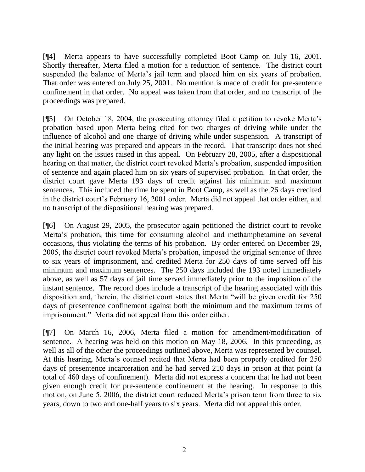[¶4] Merta appears to have successfully completed Boot Camp on July 16, 2001. Shortly thereafter, Merta filed a motion for a reduction of sentence. The district court suspended the balance of Merta's jail term and placed him on six years of probation. That order was entered on July 25, 2001. No mention is made of credit for pre-sentence confinement in that order. No appeal was taken from that order, and no transcript of the proceedings was prepared.

[¶5] On October 18, 2004, the prosecuting attorney filed a petition to revoke Merta's probation based upon Merta being cited for two charges of driving while under the influence of alcohol and one charge of driving while under suspension. A transcript of the initial hearing was prepared and appears in the record. That transcript does not shed any light on the issues raised in this appeal. On February 28, 2005, after a dispositional hearing on that matter, the district court revoked Merta's probation, suspended imposition of sentence and again placed him on six years of supervised probation. In that order, the district court gave Merta 193 days of credit against his minimum and maximum sentences. This included the time he spent in Boot Camp, as well as the 26 days credited in the district court's February 16, 2001 order. Merta did not appeal that order either, and no transcript of the dispositional hearing was prepared.

[¶6] On August 29, 2005, the prosecutor again petitioned the district court to revoke Merta's probation, this time for consuming alcohol and methamphetamine on several occasions, thus violating the terms of his probation. By order entered on December 29, 2005, the district court revoked Merta's probation, imposed the original sentence of three to six years of imprisonment, and credited Merta for 250 days of time served off his minimum and maximum sentences. The 250 days included the 193 noted immediately above, as well as 57 days of jail time served immediately prior to the imposition of the instant sentence. The record does include a transcript of the hearing associated with this disposition and, therein, the district court states that Merta "will be given credit for 250 days of presentence confinement against both the minimum and the maximum terms of imprisonment." Merta did not appeal from this order either.

[¶7] On March 16, 2006, Merta filed a motion for amendment/modification of sentence. A hearing was held on this motion on May 18, 2006. In this proceeding, as well as all of the other the proceedings outlined above, Merta was represented by counsel. At this hearing, Merta's counsel recited that Merta had been properly credited for 250 days of presentence incarceration and he had served 210 days in prison at that point (a total of 460 days of confinement). Merta did not express a concern that he had not been given enough credit for pre-sentence confinement at the hearing. In response to this motion, on June 5, 2006, the district court reduced Merta's prison term from three to six years, down to two and one-half years to six years. Merta did not appeal this order.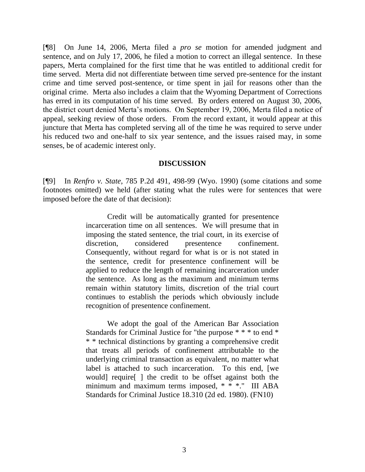[¶8] On June 14, 2006, Merta filed a *pro se* motion for amended judgment and sentence, and on July 17, 2006, he filed a motion to correct an illegal sentence. In these papers, Merta complained for the first time that he was entitled to additional credit for time served. Merta did not differentiate between time served pre-sentence for the instant crime and time served post-sentence, or time spent in jail for reasons other than the original crime. Merta also includes a claim that the Wyoming Department of Corrections has erred in its computation of his time served. By orders entered on August 30, 2006, the district court denied Merta's motions. On September 19, 2006, Merta filed a notice of appeal, seeking review of those orders. From the record extant, it would appear at this juncture that Merta has completed serving all of the time he was required to serve under his reduced two and one-half to six year sentence, and the issues raised may, in some senses, be of academic interest only.

#### **DISCUSSION**

[¶9] In *Renfro v. State*, 785 P.2d 491, 498-99 (Wyo. 1990) (some citations and some footnotes omitted) we held (after stating what the rules were for sentences that were imposed before the date of that decision):

> Credit will be automatically granted for presentence incarceration time on all sentences. We will presume that in imposing the stated sentence, the trial court, in its exercise of discretion, considered presentence confinement. Consequently, without regard for what is or is not stated in the sentence, credit for presentence confinement will be applied to reduce the length of remaining incarceration under the sentence. As long as the maximum and minimum terms remain within statutory limits, discretion of the trial court continues to establish the periods which obviously include recognition of presentence confinement.

> We adopt the goal of the American Bar Association Standards for Criminal Justice for "the purpose \* \* \* to end \* \* \* technical distinctions by granting a comprehensive credit that treats all periods of confinement attributable to the underlying criminal transaction as equivalent, no matter what label is attached to such incarceration. To this end, [we would] require[ ] the credit to be offset against both the minimum and maximum terms imposed, \* \* \*." III ABA Standards for Criminal Justice 18.310 (2d ed. 1980). (FN10)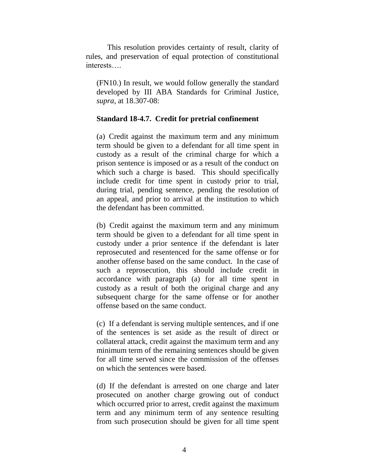This resolution provides certainty of result, clarity of rules, and preservation of equal protection of constitutional interests….

(FN10.) In result, we would follow generally the standard developed by III ABA Standards for Criminal Justice, *supra*, at 18.307-08:

### **Standard 18-4.7. Credit for pretrial confinement**

(a) Credit against the maximum term and any minimum term should be given to a defendant for all time spent in custody as a result of the criminal charge for which a prison sentence is imposed or as a result of the conduct on which such a charge is based. This should specifically include credit for time spent in custody prior to trial, during trial, pending sentence, pending the resolution of an appeal, and prior to arrival at the institution to which the defendant has been committed.

(b) Credit against the maximum term and any minimum term should be given to a defendant for all time spent in custody under a prior sentence if the defendant is later reprosecuted and resentenced for the same offense or for another offense based on the same conduct. In the case of such a reprosecution, this should include credit in accordance with paragraph (a) for all time spent in custody as a result of both the original charge and any subsequent charge for the same offense or for another offense based on the same conduct.

(c) If a defendant is serving multiple sentences, and if one of the sentences is set aside as the result of direct or collateral attack, credit against the maximum term and any minimum term of the remaining sentences should be given for all time served since the commission of the offenses on which the sentences were based.

(d) If the defendant is arrested on one charge and later prosecuted on another charge growing out of conduct which occurred prior to arrest, credit against the maximum term and any minimum term of any sentence resulting from such prosecution should be given for all time spent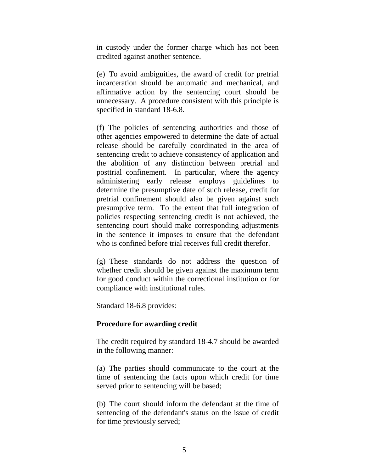in custody under the former charge which has not been credited against another sentence.

(e) To avoid ambiguities, the award of credit for pretrial incarceration should be automatic and mechanical, and affirmative action by the sentencing court should be unnecessary. A procedure consistent with this principle is specified in standard 18-6.8.

(f) The policies of sentencing authorities and those of other agencies empowered to determine the date of actual release should be carefully coordinated in the area of sentencing credit to achieve consistency of application and the abolition of any distinction between pretrial and posttrial confinement. In particular, where the agency administering early release employs guidelines to determine the presumptive date of such release, credit for pretrial confinement should also be given against such presumptive term. To the extent that full integration of policies respecting sentencing credit is not achieved, the sentencing court should make corresponding adjustments in the sentence it imposes to ensure that the defendant who is confined before trial receives full credit therefor.

(g) These standards do not address the question of whether credit should be given against the maximum term for good conduct within the correctional institution or for compliance with institutional rules.

Standard 18-6.8 provides:

#### **Procedure for awarding credit**

The credit required by standard 18-4.7 should be awarded in the following manner:

(a) The parties should communicate to the court at the time of sentencing the facts upon which credit for time served prior to sentencing will be based;

(b) The court should inform the defendant at the time of sentencing of the defendant's status on the issue of credit for time previously served;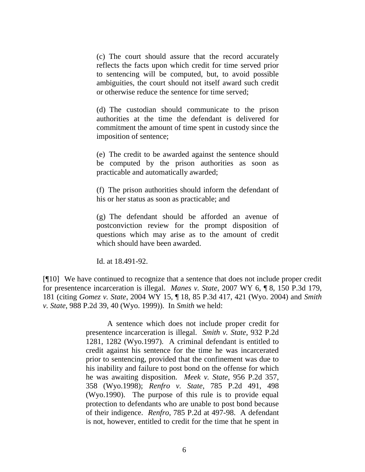(c) The court should assure that the record accurately reflects the facts upon which credit for time served prior to sentencing will be computed, but, to avoid possible ambiguities, the court should not itself award such credit or otherwise reduce the sentence for time served;

(d) The custodian should communicate to the prison authorities at the time the defendant is delivered for commitment the amount of time spent in custody since the imposition of sentence;

(e) The credit to be awarded against the sentence should be computed by the prison authorities as soon as practicable and automatically awarded;

(f) The prison authorities should inform the defendant of his or her status as soon as practicable; and

(g) The defendant should be afforded an avenue of postconviction review for the prompt disposition of questions which may arise as to the amount of credit which should have been awarded.

Id. at 18.491-92.

[¶10] We have continued to recognize that a sentence that does not include proper credit for presentence incarceration is illegal. *Manes v. State*, 2007 WY 6, ¶ 8, 150 P.3d 179, 181 (citing *Gomez v. State*, 2004 WY 15, ¶ 18, 85 P.3d 417, 421 (Wyo. 2004) and *Smith v. State*, 988 P.2d 39, 40 (Wyo. 1999)). In *Smith* we held:

> A sentence which does not include proper credit for presentence incarceration is illegal. *Smith v. State*, 932 P.2d 1281, 1282 (Wyo.1997). A criminal defendant is entitled to credit against his sentence for the time he was incarcerated prior to sentencing, provided that the confinement was due to his inability and failure to post bond on the offense for which he was awaiting disposition. *Meek v. State*, 956 P.2d 357, 358 (Wyo.1998); *Renfro v. State*, 785 P.2d 491, 498 (Wyo.1990). The purpose of this rule is to provide equal protection to defendants who are unable to post bond because of their indigence. *Renfro*, 785 P.2d at 497-98. A defendant is not, however, entitled to credit for the time that he spent in